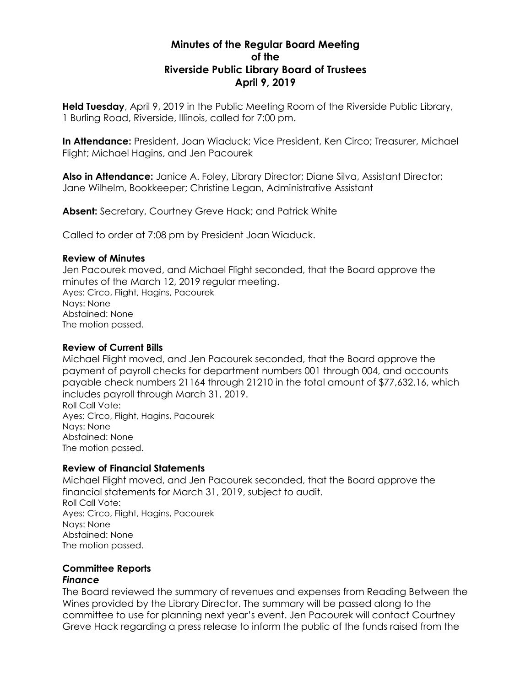# **Minutes of the Regular Board Meeting of the Riverside Public Library Board of Trustees April 9, 2019**

**Held Tuesday**, April 9, 2019 in the Public Meeting Room of the Riverside Public Library, 1 Burling Road, Riverside, Illinois, called for 7:00 pm.

**In Attendance:** President, Joan Wiaduck; Vice President, Ken Circo; Treasurer, Michael Flight; Michael Hagins, and Jen Pacourek

**Also in Attendance:** Janice A. Foley, Library Director; Diane Silva, Assistant Director; Jane Wilhelm, Bookkeeper; Christine Legan, Administrative Assistant

**Absent:** Secretary, Courtney Greve Hack; and Patrick White

Called to order at 7:08 pm by President Joan Wiaduck.

## **Review of Minutes**

Jen Pacourek moved, and Michael Flight seconded, that the Board approve the minutes of the March 12, 2019 regular meeting. Ayes: Circo, Flight, Hagins, Pacourek Nays: None Abstained: None The motion passed.

# **Review of Current Bills**

Michael Flight moved, and Jen Pacourek seconded, that the Board approve the payment of payroll checks for department numbers 001 through 004, and accounts payable check numbers 21164 through 21210 in the total amount of \$77,632.16, which includes payroll through March 31, 2019. Roll Call Vote:

Ayes: Circo, Flight, Hagins, Pacourek Nays: None Abstained: None The motion passed.

# **Review of Financial Statements**

Michael Flight moved, and Jen Pacourek seconded, that the Board approve the financial statements for March 31, 2019, subject to audit. Roll Call Vote: Ayes: Circo, Flight, Hagins, Pacourek Nays: None Abstained: None The motion passed.

#### **Committee Reports** *Finance*

The Board reviewed the summary of revenues and expenses from Reading Between the Wines provided by the Library Director. The summary will be passed along to the committee to use for planning next year's event. Jen Pacourek will contact Courtney Greve Hack regarding a press release to inform the public of the funds raised from the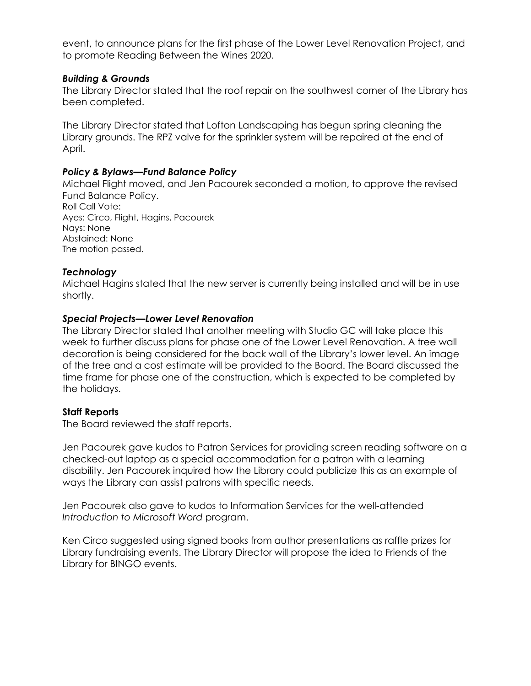event, to announce plans for the first phase of the Lower Level Renovation Project, and to promote Reading Between the Wines 2020.

## *Building & Grounds*

The Library Director stated that the roof repair on the southwest corner of the Library has been completed.

The Library Director stated that Lofton Landscaping has begun spring cleaning the Library grounds. The RPZ valve for the sprinkler system will be repaired at the end of April.

## *Policy & Bylaws—Fund Balance Policy*

Michael Flight moved, and Jen Pacourek seconded a motion, to approve the revised Fund Balance Policy. Roll Call Vote: Ayes: Circo, Flight, Hagins, Pacourek Nays: None Abstained: None The motion passed.

## *Technology*

Michael Hagins stated that the new server is currently being installed and will be in use shortly.

## *Special Projects—Lower Level Renovation*

The Library Director stated that another meeting with Studio GC will take place this week to further discuss plans for phase one of the Lower Level Renovation. A tree wall decoration is being considered for the back wall of the Library's lower level. An image of the tree and a cost estimate will be provided to the Board. The Board discussed the time frame for phase one of the construction, which is expected to be completed by the holidays.

#### **Staff Reports**

The Board reviewed the staff reports.

Jen Pacourek gave kudos to Patron Services for providing screen reading software on a checked-out laptop as a special accommodation for a patron with a learning disability. Jen Pacourek inquired how the Library could publicize this as an example of ways the Library can assist patrons with specific needs.

Jen Pacourek also gave to kudos to Information Services for the well-attended *Introduction to Microsoft Word* program.

Ken Circo suggested using signed books from author presentations as raffle prizes for Library fundraising events. The Library Director will propose the idea to Friends of the Library for BINGO events.